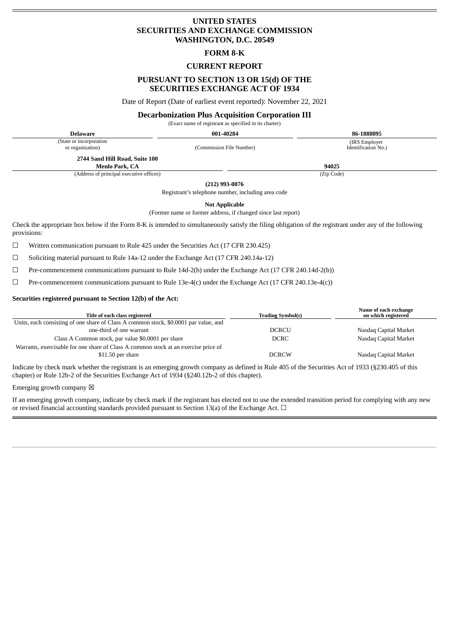# **UNITED STATES SECURITIES AND EXCHANGE COMMISSION WASHINGTON, D.C. 20549**

### **FORM 8-K**

## **CURRENT REPORT**

# **PURSUANT TO SECTION 13 OR 15(d) OF THE SECURITIES EXCHANGE ACT OF 1934**

Date of Report (Date of earliest event reported): November 22, 2021

#### **Decarbonization Plus Acquisition Corporation III**

(Exact name of registrant as specified in its charter)

**Delaware 001-40284 86-1888095**

(State or incorporation

or organization) (Commission File Number)

(IRS Employer Identification No.)

**2744 Sand Hill Road, Suite 100**

**Menlo Park, CA 94025** (Address of principal executive offices) (Zip Code)

**(212) 993-0076**

Registrant's telephone number, including area code

**Not Applicable**

(Former name or former address, if changed since last report)

Check the appropriate box below if the Form 8-K is intended to simultaneously satisfy the filing obligation of the registrant under any of the following provisions:

 $\Box$  Written communication pursuant to Rule 425 under the Securities Act (17 CFR 230.425)

☐ Soliciting material pursuant to Rule 14a-12 under the Exchange Act (17 CFR 240.14a-12)

☐ Pre-commencement communications pursuant to Rule 14d-2(b) under the Exchange Act (17 CFR 240.14d-2(b))

☐ Pre-commencement communications pursuant to Rule 13e-4(c) under the Exchange Act (17 CFR 240.13e-4(c))

### **Securities registered pursuant to Section 12(b) of the Act:**

| Title of each class registered                                                       | <b>Trading Symbol(s)</b> | Name of each exchange<br>on which registered |
|--------------------------------------------------------------------------------------|--------------------------|----------------------------------------------|
| Units, each consisting of one share of Class A common stock, \$0.0001 par value, and |                          |                                              |
| one-third of one warrant                                                             | <b>DCRCU</b>             | Nasdaq Capital Market                        |
| Class A Common stock, par value \$0.0001 per share                                   | DCRC                     | Nasdaq Capital Market                        |
| Warrants, exercisable for one share of Class A common stock at an exercise price of  |                          |                                              |
| \$11.50 per share                                                                    | <b>DCRCW</b>             | Nasdaq Capital Market                        |
|                                                                                      |                          |                                              |

Indicate by check mark whether the registrant is an emerging growth company as defined in Rule 405 of the Securities Act of 1933 (§230.405 of this chapter) or Rule 12b-2 of the Securities Exchange Act of 1934 (§240.12b-2 of this chapter).

Emerging growth company  $\boxtimes$ 

If an emerging growth company, indicate by check mark if the registrant has elected not to use the extended transition period for complying with any new or revised financial accounting standards provided pursuant to Section 13(a) of the Exchange Act.  $\Box$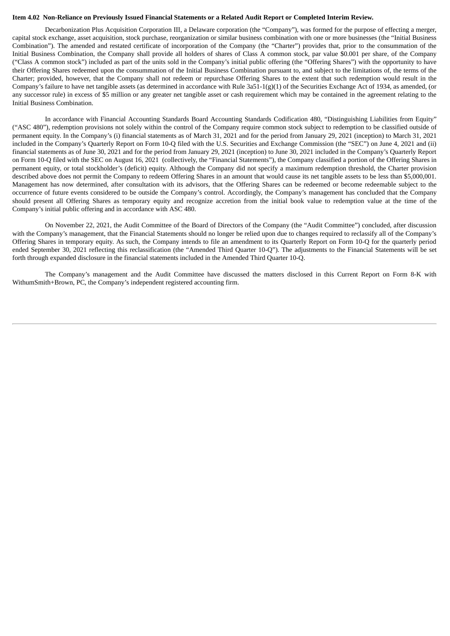#### Item 4.02 Non-Reliance on Previously Issued Financial Statements or a Related Audit Report or Completed Interim Review.

Decarbonization Plus Acquisition Corporation III, a Delaware corporation (the "Company"), was formed for the purpose of effecting a merger, capital stock exchange, asset acquisition, stock purchase, reorganization or similar business combination with one or more businesses (the "Initial Business Combination"). The amended and restated certificate of incorporation of the Company (the "Charter") provides that, prior to the consummation of the Initial Business Combination, the Company shall provide all holders of shares of Class A common stock, par value \$0.001 per share, of the Company ("Class A common stock") included as part of the units sold in the Company's initial public offering (the "Offering Shares") with the opportunity to have their Offering Shares redeemed upon the consummation of the Initial Business Combination pursuant to, and subject to the limitations of, the terms of the Charter; provided, however, that the Company shall not redeem or repurchase Offering Shares to the extent that such redemption would result in the Company's failure to have net tangible assets (as determined in accordance with Rule  $3a51-1(g)(1)$  of the Securities Exchange Act of 1934, as amended, (or any successor rule) in excess of \$5 million or any greater net tangible asset or cash requirement which may be contained in the agreement relating to the Initial Business Combination.

In accordance with Financial Accounting Standards Board Accounting Standards Codification 480, "Distinguishing Liabilities from Equity" ("ASC 480"), redemption provisions not solely within the control of the Company require common stock subject to redemption to be classified outside of permanent equity. In the Company's (i) financial statements as of March 31, 2021 and for the period from January 29, 2021 (inception) to March 31, 2021 included in the Company's Quarterly Report on Form 10-Q filed with the U.S. Securities and Exchange Commission (the "SEC") on June 4, 2021 and (ii) financial statements as of June 30, 2021 and for the period from January 29, 2021 (inception) to June 30, 2021 included in the Company's Quarterly Report on Form 10-Q filed with the SEC on August 16, 2021 (collectively, the "Financial Statements"), the Company classified a portion of the Offering Shares in permanent equity, or total stockholder's (deficit) equity. Although the Company did not specify a maximum redemption threshold, the Charter provision described above does not permit the Company to redeem Offering Shares in an amount that would cause its net tangible assets to be less than \$5,000,001. Management has now determined, after consultation with its advisors, that the Offering Shares can be redeemed or become redeemable subject to the occurrence of future events considered to be outside the Company's control. Accordingly, the Company's management has concluded that the Company should present all Offering Shares as temporary equity and recognize accretion from the initial book value to redemption value at the time of the Company's initial public offering and in accordance with ASC 480.

On November 22, 2021, the Audit Committee of the Board of Directors of the Company (the "Audit Committee") concluded, after discussion with the Company's management, that the Financial Statements should no longer be relied upon due to changes required to reclassify all of the Company's Offering Shares in temporary equity. As such, the Company intends to file an amendment to its Quarterly Report on Form 10-Q for the quarterly period ended September 30, 2021 reflecting this reclassification (the "Amended Third Quarter 10-Q"). The adjustments to the Financial Statements will be set forth through expanded disclosure in the financial statements included in the Amended Third Quarter 10-Q.

The Company's management and the Audit Committee have discussed the matters disclosed in this Current Report on Form 8-K with WithumSmith+Brown, PC, the Company's independent registered accounting firm.